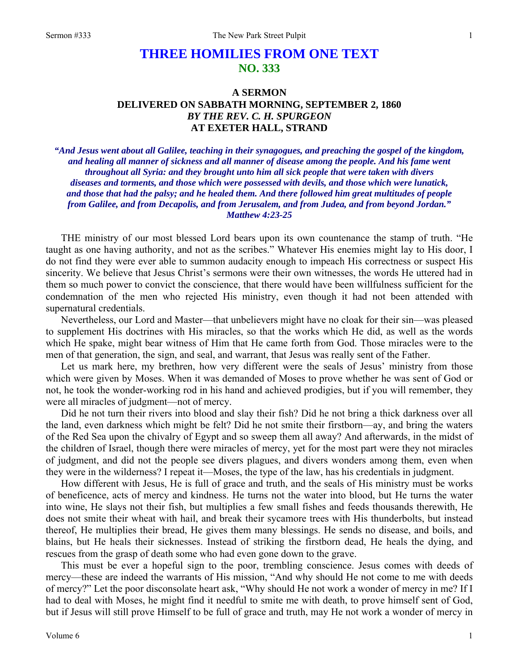## **THREE HOMILIES FROM ONE TEXT NO. 333**

## **A SERMON DELIVERED ON SABBATH MORNING, SEPTEMBER 2, 1860**  *BY THE REV. C. H. SPURGEON*  **AT EXETER HALL, STRAND**

*"And Jesus went about all Galilee, teaching in their synagogues, and preaching the gospel of the kingdom, and healing all manner of sickness and all manner of disease among the people. And his fame went throughout all Syria: and they brought unto him all sick people that were taken with divers diseases and torments, and those which were possessed with devils, and those which were lunatick, and those that had the palsy; and he healed them. And there followed him great multitudes of people from Galilee, and from Decapolis, and from Jerusalem, and from Judea, and from beyond Jordan." Matthew 4:23-25* 

THE ministry of our most blessed Lord bears upon its own countenance the stamp of truth. "He taught as one having authority, and not as the scribes." Whatever His enemies might lay to His door, I do not find they were ever able to summon audacity enough to impeach His correctness or suspect His sincerity. We believe that Jesus Christ's sermons were their own witnesses, the words He uttered had in them so much power to convict the conscience, that there would have been willfulness sufficient for the condemnation of the men who rejected His ministry, even though it had not been attended with supernatural credentials.

Nevertheless, our Lord and Master—that unbelievers might have no cloak for their sin—was pleased to supplement His doctrines with His miracles, so that the works which He did, as well as the words which He spake, might bear witness of Him that He came forth from God. Those miracles were to the men of that generation, the sign, and seal, and warrant, that Jesus was really sent of the Father.

Let us mark here, my brethren, how very different were the seals of Jesus' ministry from those which were given by Moses. When it was demanded of Moses to prove whether he was sent of God or not, he took the wonder-working rod in his hand and achieved prodigies, but if you will remember, they were all miracles of judgment—not of mercy.

Did he not turn their rivers into blood and slay their fish? Did he not bring a thick darkness over all the land, even darkness which might be felt? Did he not smite their firstborn—ay, and bring the waters of the Red Sea upon the chivalry of Egypt and so sweep them all away? And afterwards, in the midst of the children of Israel, though there were miracles of mercy, yet for the most part were they not miracles of judgment, and did not the people see divers plagues, and divers wonders among them, even when they were in the wilderness? I repeat it—Moses, the type of the law, has his credentials in judgment.

How different with Jesus, He is full of grace and truth, and the seals of His ministry must be works of beneficence, acts of mercy and kindness. He turns not the water into blood, but He turns the water into wine, He slays not their fish, but multiplies a few small fishes and feeds thousands therewith, He does not smite their wheat with hail, and break their sycamore trees with His thunderbolts, but instead thereof, He multiplies their bread, He gives them many blessings. He sends no disease, and boils, and blains, but He heals their sicknesses. Instead of striking the firstborn dead, He heals the dying, and rescues from the grasp of death some who had even gone down to the grave.

This must be ever a hopeful sign to the poor, trembling conscience. Jesus comes with deeds of mercy—these are indeed the warrants of His mission, "And why should He not come to me with deeds of mercy?" Let the poor disconsolate heart ask, "Why should He not work a wonder of mercy in me? If I had to deal with Moses, he might find it needful to smite me with death, to prove himself sent of God, but if Jesus will still prove Himself to be full of grace and truth, may He not work a wonder of mercy in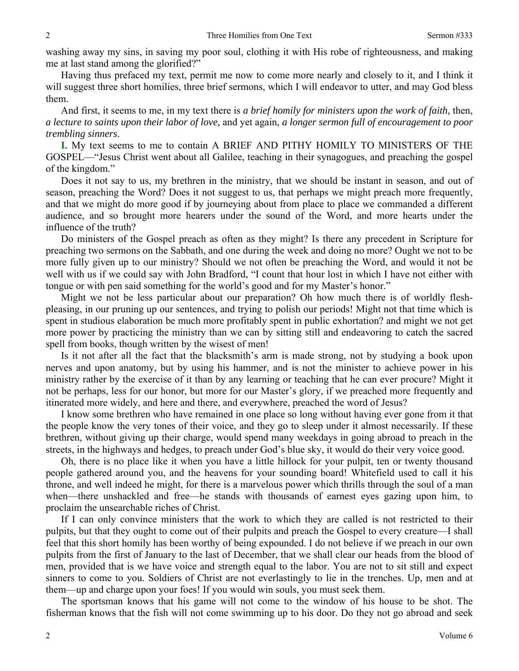washing away my sins, in saving my poor soul, clothing it with His robe of righteousness, and making me at last stand among the glorified?"

Having thus prefaced my text, permit me now to come more nearly and closely to it, and I think it will suggest three short homilies, three brief sermons, which I will endeavor to utter, and may God bless them.

And first, it seems to me, in my text there is *a brief homily for ministers upon the work of faith,* then, *a lecture to saints upon their labor of love,* and yet again, *a longer sermon full of encouragement to poor trembling sinners*.

**I.** My text seems to me to contain A BRIEF AND PITHY HOMILY TO MINISTERS OF THE GOSPEL—"Jesus Christ went about all Galilee, teaching in their synagogues, and preaching the gospel of the kingdom."

Does it not say to us, my brethren in the ministry, that we should be instant in season, and out of season, preaching the Word? Does it not suggest to us, that perhaps we might preach more frequently, and that we might do more good if by journeying about from place to place we commanded a different audience, and so brought more hearers under the sound of the Word, and more hearts under the influence of the truth?

Do ministers of the Gospel preach as often as they might? Is there any precedent in Scripture for preaching two sermons on the Sabbath, and one during the week and doing no more? Ought we not to be more fully given up to our ministry? Should we not often be preaching the Word, and would it not be well with us if we could say with John Bradford, "I count that hour lost in which I have not either with tongue or with pen said something for the world's good and for my Master's honor."

Might we not be less particular about our preparation? Oh how much there is of worldly fleshpleasing, in our pruning up our sentences, and trying to polish our periods! Might not that time which is spent in studious elaboration be much more profitably spent in public exhortation? and might we not get more power by practicing the ministry than we can by sitting still and endeavoring to catch the sacred spell from books, though written by the wisest of men!

Is it not after all the fact that the blacksmith's arm is made strong, not by studying a book upon nerves and upon anatomy, but by using his hammer, and is not the minister to achieve power in his ministry rather by the exercise of it than by any learning or teaching that he can ever procure? Might it not be perhaps, less for our honor, but more for our Master's glory, if we preached more frequently and itinerated more widely, and here and there, and everywhere, preached the word of Jesus?

I know some brethren who have remained in one place so long without having ever gone from it that the people know the very tones of their voice, and they go to sleep under it almost necessarily. If these brethren, without giving up their charge, would spend many weekdays in going abroad to preach in the streets, in the highways and hedges, to preach under God's blue sky, it would do their very voice good.

Oh, there is no place like it when you have a little hillock for your pulpit, ten or twenty thousand people gathered around you, and the heavens for your sounding board! Whitefield used to call it his throne, and well indeed he might, for there is a marvelous power which thrills through the soul of a man when—there unshackled and free—he stands with thousands of earnest eyes gazing upon him, to proclaim the unsearchable riches of Christ.

If I can only convince ministers that the work to which they are called is not restricted to their pulpits, but that they ought to come out of their pulpits and preach the Gospel to every creature—I shall feel that this short homily has been worthy of being expounded. I do not believe if we preach in our own pulpits from the first of January to the last of December, that we shall clear our heads from the blood of men, provided that is we have voice and strength equal to the labor. You are not to sit still and expect sinners to come to you. Soldiers of Christ are not everlastingly to lie in the trenches. Up, men and at them—up and charge upon your foes! If you would win souls, you must seek them.

The sportsman knows that his game will not come to the window of his house to be shot. The fisherman knows that the fish will not come swimming up to his door. Do they not go abroad and seek

2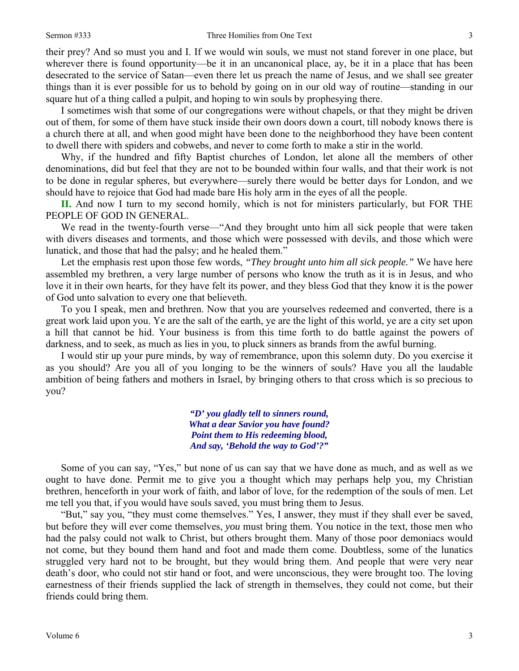their prey? And so must you and I. If we would win souls, we must not stand forever in one place, but wherever there is found opportunity—be it in an uncanonical place, ay, be it in a place that has been desecrated to the service of Satan—even there let us preach the name of Jesus, and we shall see greater things than it is ever possible for us to behold by going on in our old way of routine—standing in our square hut of a thing called a pulpit, and hoping to win souls by prophesying there.

I sometimes wish that some of our congregations were without chapels, or that they might be driven out of them, for some of them have stuck inside their own doors down a court, till nobody knows there is a church there at all, and when good might have been done to the neighborhood they have been content to dwell there with spiders and cobwebs, and never to come forth to make a stir in the world.

Why, if the hundred and fifty Baptist churches of London, let alone all the members of other denominations, did but feel that they are not to be bounded within four walls, and that their work is not to be done in regular spheres, but everywhere—surely there would be better days for London, and we should have to rejoice that God had made bare His holy arm in the eyes of all the people.

**II.** And now I turn to my second homily, which is not for ministers particularly, but FOR THE PEOPLE OF GOD IN GENERAL.

We read in the twenty-fourth verse—"And they brought unto him all sick people that were taken with divers diseases and torments, and those which were possessed with devils, and those which were lunatick, and those that had the palsy; and he healed them."

Let the emphasis rest upon those few words, *"They brought unto him all sick people."* We have here assembled my brethren, a very large number of persons who know the truth as it is in Jesus, and who love it in their own hearts, for they have felt its power, and they bless God that they know it is the power of God unto salvation to every one that believeth.

To you I speak, men and brethren. Now that you are yourselves redeemed and converted, there is a great work laid upon you. Ye are the salt of the earth, ye are the light of this world, ye are a city set upon a hill that cannot be hid. Your business is from this time forth to do battle against the powers of darkness, and to seek, as much as lies in you, to pluck sinners as brands from the awful burning.

I would stir up your pure minds, by way of remembrance, upon this solemn duty. Do you exercise it as you should? Are you all of you longing to be the winners of souls? Have you all the laudable ambition of being fathers and mothers in Israel, by bringing others to that cross which is so precious to you?

> *"D' you gladly tell to sinners round, What a dear Savior you have found? Point them to His redeeming blood, And say, 'Behold the way to God'?"*

Some of you can say, "Yes," but none of us can say that we have done as much, and as well as we ought to have done. Permit me to give you a thought which may perhaps help you, my Christian brethren, henceforth in your work of faith, and labor of love, for the redemption of the souls of men. Let me tell you that, if you would have souls saved, you must bring them to Jesus.

"But," say you, "they must come themselves." Yes, I answer, they must if they shall ever be saved, but before they will ever come themselves, *you* must bring them. You notice in the text, those men who had the palsy could not walk to Christ, but others brought them. Many of those poor demoniacs would not come, but they bound them hand and foot and made them come. Doubtless, some of the lunatics struggled very hard not to be brought, but they would bring them. And people that were very near death's door, who could not stir hand or foot, and were unconscious, they were brought too. The loving earnestness of their friends supplied the lack of strength in themselves, they could not come, but their friends could bring them.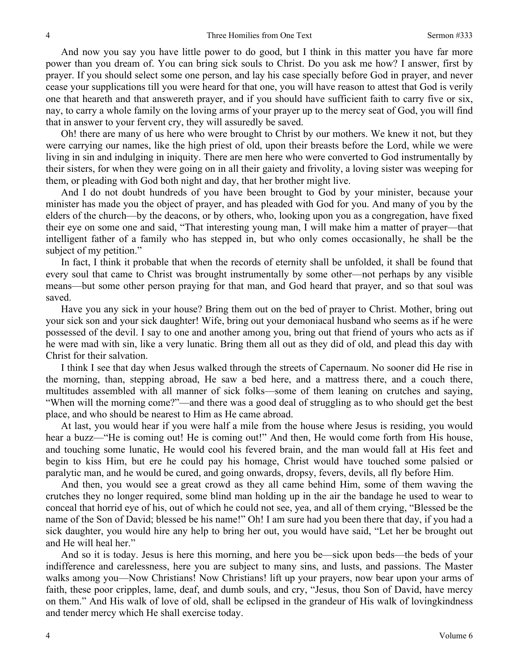And now you say you have little power to do good, but I think in this matter you have far more power than you dream of. You can bring sick souls to Christ. Do you ask me how? I answer, first by prayer. If you should select some one person, and lay his case specially before God in prayer, and never cease your supplications till you were heard for that one, you will have reason to attest that God is verily one that heareth and that answereth prayer, and if you should have sufficient faith to carry five or six, nay, to carry a whole family on the loving arms of your prayer up to the mercy seat of God, you will find that in answer to your fervent cry, they will assuredly be saved.

Oh! there are many of us here who were brought to Christ by our mothers. We knew it not, but they were carrying our names, like the high priest of old, upon their breasts before the Lord, while we were living in sin and indulging in iniquity. There are men here who were converted to God instrumentally by their sisters, for when they were going on in all their gaiety and frivolity, a loving sister was weeping for them, or pleading with God both night and day, that her brother might live.

And I do not doubt hundreds of you have been brought to God by your minister, because your minister has made you the object of prayer, and has pleaded with God for you. And many of you by the elders of the church—by the deacons, or by others, who, looking upon you as a congregation, have fixed their eye on some one and said, "That interesting young man, I will make him a matter of prayer—that intelligent father of a family who has stepped in, but who only comes occasionally, he shall be the subject of my petition."

In fact, I think it probable that when the records of eternity shall be unfolded, it shall be found that every soul that came to Christ was brought instrumentally by some other—not perhaps by any visible means—but some other person praying for that man, and God heard that prayer, and so that soul was saved.

Have you any sick in your house? Bring them out on the bed of prayer to Christ. Mother, bring out your sick son and your sick daughter! Wife, bring out your demoniacal husband who seems as if he were possessed of the devil. I say to one and another among you, bring out that friend of yours who acts as if he were mad with sin, like a very lunatic. Bring them all out as they did of old, and plead this day with Christ for their salvation.

I think I see that day when Jesus walked through the streets of Capernaum. No sooner did He rise in the morning, than, stepping abroad, He saw a bed here, and a mattress there, and a couch there, multitudes assembled with all manner of sick folks—some of them leaning on crutches and saying, "When will the morning come?"—and there was a good deal of struggling as to who should get the best place, and who should be nearest to Him as He came abroad.

At last, you would hear if you were half a mile from the house where Jesus is residing, you would hear a buzz—"He is coming out! He is coming out!" And then, He would come forth from His house, and touching some lunatic, He would cool his fevered brain, and the man would fall at His feet and begin to kiss Him, but ere he could pay his homage, Christ would have touched some palsied or paralytic man, and he would be cured, and going onwards, dropsy, fevers, devils, all fly before Him.

And then, you would see a great crowd as they all came behind Him, some of them waving the crutches they no longer required, some blind man holding up in the air the bandage he used to wear to conceal that horrid eye of his, out of which he could not see, yea, and all of them crying, "Blessed be the name of the Son of David; blessed be his name!" Oh! I am sure had you been there that day, if you had a sick daughter, you would hire any help to bring her out, you would have said, "Let her be brought out and He will heal her."

And so it is today. Jesus is here this morning, and here you be—sick upon beds—the beds of your indifference and carelessness, here you are subject to many sins, and lusts, and passions. The Master walks among you—Now Christians! Now Christians! lift up your prayers, now bear upon your arms of faith, these poor cripples, lame, deaf, and dumb souls, and cry, "Jesus, thou Son of David, have mercy on them." And His walk of love of old, shall be eclipsed in the grandeur of His walk of lovingkindness and tender mercy which He shall exercise today.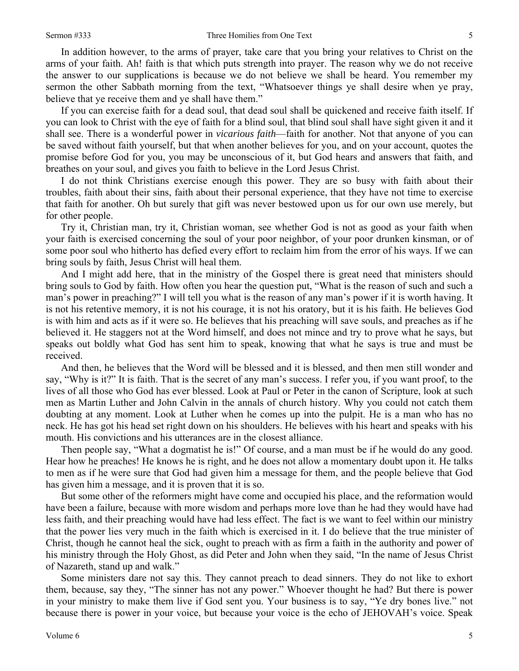In addition however, to the arms of prayer, take care that you bring your relatives to Christ on the arms of your faith. Ah! faith is that which puts strength into prayer. The reason why we do not receive the answer to our supplications is because we do not believe we shall be heard. You remember my sermon the other Sabbath morning from the text, "Whatsoever things ye shall desire when ye pray, believe that ye receive them and ye shall have them."

If you can exercise faith for a dead soul, that dead soul shall be quickened and receive faith itself. If you can look to Christ with the eye of faith for a blind soul, that blind soul shall have sight given it and it shall see. There is a wonderful power in *vicarious faith*—faith for another. Not that anyone of you can be saved without faith yourself, but that when another believes for you, and on your account, quotes the promise before God for you, you may be unconscious of it, but God hears and answers that faith, and breathes on your soul, and gives you faith to believe in the Lord Jesus Christ.

I do not think Christians exercise enough this power. They are so busy with faith about their troubles, faith about their sins, faith about their personal experience, that they have not time to exercise that faith for another. Oh but surely that gift was never bestowed upon us for our own use merely, but for other people.

Try it, Christian man, try it, Christian woman, see whether God is not as good as your faith when your faith is exercised concerning the soul of your poor neighbor, of your poor drunken kinsman, or of some poor soul who hitherto has defied every effort to reclaim him from the error of his ways. If we can bring souls by faith, Jesus Christ will heal them.

And I might add here, that in the ministry of the Gospel there is great need that ministers should bring souls to God by faith. How often you hear the question put, "What is the reason of such and such a man's power in preaching?" I will tell you what is the reason of any man's power if it is worth having. It is not his retentive memory, it is not his courage, it is not his oratory, but it is his faith. He believes God is with him and acts as if it were so. He believes that his preaching will save souls, and preaches as if he believed it. He staggers not at the Word himself, and does not mince and try to prove what he says, but speaks out boldly what God has sent him to speak, knowing that what he says is true and must be received.

And then, he believes that the Word will be blessed and it is blessed, and then men still wonder and say, "Why is it?" It is faith. That is the secret of any man's success. I refer you, if you want proof, to the lives of all those who God has ever blessed. Look at Paul or Peter in the canon of Scripture, look at such men as Martin Luther and John Calvin in the annals of church history. Why you could not catch them doubting at any moment. Look at Luther when he comes up into the pulpit. He is a man who has no neck. He has got his head set right down on his shoulders. He believes with his heart and speaks with his mouth. His convictions and his utterances are in the closest alliance.

Then people say, "What a dogmatist he is!" Of course, and a man must be if he would do any good. Hear how he preaches! He knows he is right, and he does not allow a momentary doubt upon it. He talks to men as if he were sure that God had given him a message for them, and the people believe that God has given him a message, and it is proven that it is so.

But some other of the reformers might have come and occupied his place, and the reformation would have been a failure, because with more wisdom and perhaps more love than he had they would have had less faith, and their preaching would have had less effect. The fact is we want to feel within our ministry that the power lies very much in the faith which is exercised in it. I do believe that the true minister of Christ, though he cannot heal the sick, ought to preach with as firm a faith in the authority and power of his ministry through the Holy Ghost, as did Peter and John when they said, "In the name of Jesus Christ of Nazareth, stand up and walk."

Some ministers dare not say this. They cannot preach to dead sinners. They do not like to exhort them, because, say they, "The sinner has not any power." Whoever thought he had? But there is power in your ministry to make them live if God sent you. Your business is to say, "Ye dry bones live." not because there is power in your voice, but because your voice is the echo of JEHOVAH's voice. Speak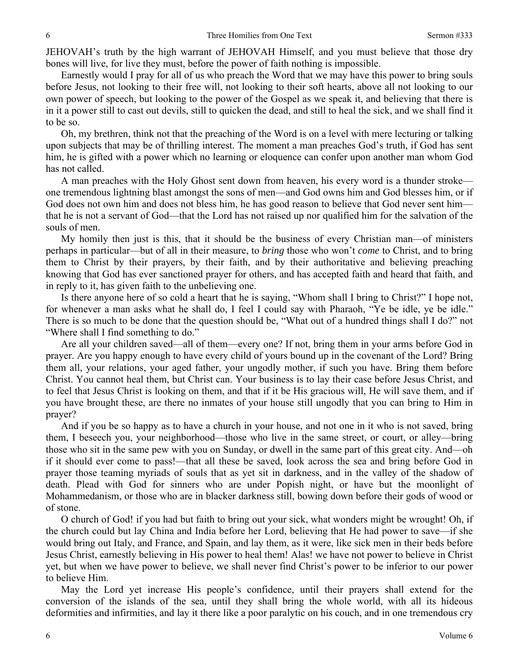JEHOVAH's truth by the high warrant of JEHOVAH Himself, and you must believe that those dry bones will live, for live they must, before the power of faith nothing is impossible.

Earnestly would I pray for all of us who preach the Word that we may have this power to bring souls before Jesus, not looking to their free will, not looking to their soft hearts, above all not looking to our own power of speech, but looking to the power of the Gospel as we speak it, and believing that there is in it a power still to cast out devils, still to quicken the dead, and still to heal the sick, and we shall find it to be so.

Oh, my brethren, think not that the preaching of the Word is on a level with mere lecturing or talking upon subjects that may be of thrilling interest. The moment a man preaches God's truth, if God has sent him, he is gifted with a power which no learning or eloquence can confer upon another man whom God has not called.

A man preaches with the Holy Ghost sent down from heaven, his every word is a thunder stroke one tremendous lightning blast amongst the sons of men—and God owns him and God blesses him, or if God does not own him and does not bless him, he has good reason to believe that God never sent him that he is not a servant of God—that the Lord has not raised up nor qualified him for the salvation of the souls of men.

My homily then just is this, that it should be the business of every Christian man—of ministers perhaps in particular—but of all in their measure, to *bring* those who won't *come* to Christ, and to bring them to Christ by their prayers, by their faith, and by their authoritative and believing preaching knowing that God has ever sanctioned prayer for others, and has accepted faith and heard that faith, and in reply to it, has given faith to the unbelieving one.

Is there anyone here of so cold a heart that he is saying, "Whom shall I bring to Christ?" I hope not, for whenever a man asks what he shall do, I feel I could say with Pharaoh, "Ye be idle, ye be idle." There is so much to be done that the question should be, "What out of a hundred things shall I do?" not "Where shall I find something to do."

Are all your children saved—all of them—every one? If not, bring them in your arms before God in prayer. Are you happy enough to have every child of yours bound up in the covenant of the Lord? Bring them all, your relations, your aged father, your ungodly mother, if such you have. Bring them before Christ. You cannot heal them, but Christ can. Your business is to lay their case before Jesus Christ, and to feel that Jesus Christ is looking on them, and that if it be His gracious will, He will save them, and if you have brought these, are there no inmates of your house still ungodly that you can bring to Him in prayer?

And if you be so happy as to have a church in your house, and not one in it who is not saved, bring them, I beseech you, your neighborhood—those who live in the same street, or court, or alley—bring those who sit in the same pew with you on Sunday, or dwell in the same part of this great city. And—oh if it should ever come to pass!—that all these be saved, look across the sea and bring before God in prayer those teaming myriads of souls that as yet sit in darkness, and in the valley of the shadow of death. Plead with God for sinners who are under Popish night, or have but the moonlight of Mohammedanism, or those who are in blacker darkness still, bowing down before their gods of wood or of stone.

O church of God! if you had but faith to bring out your sick, what wonders might be wrought! Oh, if the church could but lay China and India before her Lord, believing that He had power to save—if she would bring out Italy, and France, and Spain, and lay them, as it were, like sick men in their beds before Jesus Christ, earnestly believing in His power to heal them! Alas! we have not power to believe in Christ yet, but when we have power to believe, we shall never find Christ's power to be inferior to our power to believe Him.

May the Lord yet increase His people's confidence, until their prayers shall extend for the conversion of the islands of the sea, until they shall bring the whole world, with all its hideous deformities and infirmities, and lay it there like a poor paralytic on his couch, and in one tremendous cry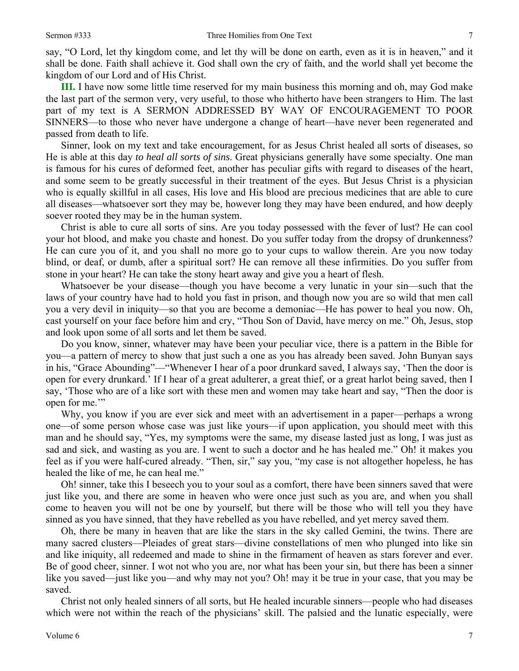say, "O Lord, let thy kingdom come, and let thy will be done on earth, even as it is in heaven," and it shall be done. Faith shall achieve it. God shall own the cry of faith, and the world shall yet become the kingdom of our Lord and of His Christ.

**III.** I have now some little time reserved for my main business this morning and oh, may God make the last part of the sermon very, very useful, to those who hitherto have been strangers to Him. The last part of my text is A SERMON ADDRESSED BY WAY OF ENCOURAGEMENT TO POOR SINNERS—to those who never have undergone a change of heart—have never been regenerated and passed from death to life.

Sinner, look on my text and take encouragement, for as Jesus Christ healed all sorts of diseases, so He is able at this day *to heal all sorts of sins*. Great physicians generally have some specialty. One man is famous for his cures of deformed feet, another has peculiar gifts with regard to diseases of the heart, and some seem to be greatly successful in their treatment of the eyes. But Jesus Christ is a physician who is equally skillful in all cases, His love and His blood are precious medicines that are able to cure all diseases—whatsoever sort they may be, however long they may have been endured, and how deeply soever rooted they may be in the human system.

Christ is able to cure all sorts of sins. Are you today possessed with the fever of lust? He can cool your hot blood, and make you chaste and honest. Do you suffer today from the dropsy of drunkenness? He can cure you of it, and you shall no more go to your cups to wallow therein. Are you now today blind, or deaf, or dumb, after a spiritual sort? He can remove all these infirmities. Do you suffer from stone in your heart? He can take the stony heart away and give you a heart of flesh.

Whatsoever be your disease—though you have become a very lunatic in your sin—such that the laws of your country have had to hold you fast in prison, and though now you are so wild that men call you a very devil in iniquity—so that you are become a demoniac—He has power to heal you now. Oh, cast yourself on your face before him and cry, "Thou Son of David, have mercy on me." Oh, Jesus, stop and look upon some of all sorts and let them be saved.

Do you know, sinner, whatever may have been your peculiar vice, there is a pattern in the Bible for you—a pattern of mercy to show that just such a one as you has already been saved. John Bunyan says in his, "Grace Abounding"—"Whenever I hear of a poor drunkard saved, I always say, 'Then the door is open for every drunkard.' If I hear of a great adulterer, a great thief, or a great harlot being saved, then I say, 'Those who are of a like sort with these men and women may take heart and say, "Then the door is open for me.'"

Why, you know if you are ever sick and meet with an advertisement in a paper—perhaps a wrong one—of some person whose case was just like yours—if upon application, you should meet with this man and he should say, "Yes, my symptoms were the same, my disease lasted just as long, I was just as sad and sick, and wasting as you are. I went to such a doctor and he has healed me." Oh! it makes you feel as if you were half-cured already. "Then, sir," say you, "my case is not altogether hopeless, he has healed the like of me, he can heal me."

Oh! sinner, take this I beseech you to your soul as a comfort, there have been sinners saved that were just like you, and there are some in heaven who were once just such as you are, and when you shall come to heaven you will not be one by yourself, but there will be those who will tell you they have sinned as you have sinned, that they have rebelled as you have rebelled, and yet mercy saved them.

Oh, there be many in heaven that are like the stars in the sky called Gemini, the twins. There are many sacred clusters—Pleiades of great stars—divine constellations of men who plunged into like sin and like iniquity, all redeemed and made to shine in the firmament of heaven as stars forever and ever. Be of good cheer, sinner. I wot not who you are, nor what has been your sin, but there has been a sinner like you saved—just like you—and why may not you? Oh! may it be true in your case, that you may be saved.

Christ not only healed sinners of all sorts, but He healed incurable sinners—people who had diseases which were not within the reach of the physicians' skill. The palsied and the lunatic especially, were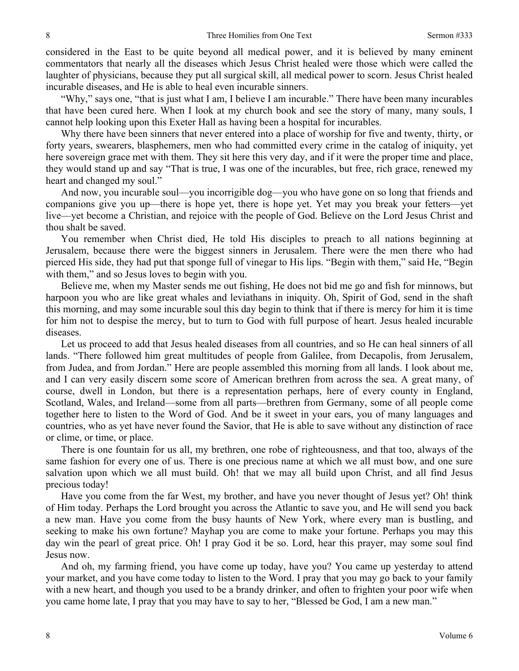considered in the East to be quite beyond all medical power, and it is believed by many eminent commentators that nearly all the diseases which Jesus Christ healed were those which were called the laughter of physicians, because they put all surgical skill, all medical power to scorn. Jesus Christ healed incurable diseases, and He is able to heal even incurable sinners.

"Why," says one, "that is just what I am, I believe I am incurable." There have been many incurables that have been cured here. When I look at my church book and see the story of many, many souls, I cannot help looking upon this Exeter Hall as having been a hospital for incurables.

Why there have been sinners that never entered into a place of worship for five and twenty, thirty, or forty years, swearers, blasphemers, men who had committed every crime in the catalog of iniquity, yet here sovereign grace met with them. They sit here this very day, and if it were the proper time and place, they would stand up and say "That is true, I was one of the incurables, but free, rich grace, renewed my heart and changed my soul."

And now, you incurable soul—you incorrigible dog—you who have gone on so long that friends and companions give you up—there is hope yet, there is hope yet. Yet may you break your fetters—yet live—yet become a Christian, and rejoice with the people of God. Believe on the Lord Jesus Christ and thou shalt be saved.

You remember when Christ died, He told His disciples to preach to all nations beginning at Jerusalem, because there were the biggest sinners in Jerusalem. There were the men there who had pierced His side, they had put that sponge full of vinegar to His lips. "Begin with them," said He, "Begin with them," and so Jesus loves to begin with you.

Believe me, when my Master sends me out fishing, He does not bid me go and fish for minnows, but harpoon you who are like great whales and leviathans in iniquity. Oh, Spirit of God, send in the shaft this morning, and may some incurable soul this day begin to think that if there is mercy for him it is time for him not to despise the mercy, but to turn to God with full purpose of heart. Jesus healed incurable diseases.

Let us proceed to add that Jesus healed diseases from all countries, and so He can heal sinners of all lands. "There followed him great multitudes of people from Galilee, from Decapolis, from Jerusalem, from Judea, and from Jordan." Here are people assembled this morning from all lands. I look about me, and I can very easily discern some score of American brethren from across the sea. A great many, of course, dwell in London, but there is a representation perhaps, here of every county in England, Scotland, Wales, and Ireland—some from all parts—brethren from Germany, some of all people come together here to listen to the Word of God. And be it sweet in your ears, you of many languages and countries, who as yet have never found the Savior, that He is able to save without any distinction of race or clime, or time, or place.

There is one fountain for us all, my brethren, one robe of righteousness, and that too, always of the same fashion for every one of us. There is one precious name at which we all must bow, and one sure salvation upon which we all must build. Oh! that we may all build upon Christ, and all find Jesus precious today!

Have you come from the far West, my brother, and have you never thought of Jesus yet? Oh! think of Him today. Perhaps the Lord brought you across the Atlantic to save you, and He will send you back a new man. Have you come from the busy haunts of New York, where every man is bustling, and seeking to make his own fortune? Mayhap you are come to make your fortune. Perhaps you may this day win the pearl of great price. Oh! I pray God it be so. Lord, hear this prayer, may some soul find Jesus now.

And oh, my farming friend, you have come up today, have you? You came up yesterday to attend your market, and you have come today to listen to the Word. I pray that you may go back to your family with a new heart, and though you used to be a brandy drinker, and often to frighten your poor wife when you came home late, I pray that you may have to say to her, "Blessed be God, I am a new man."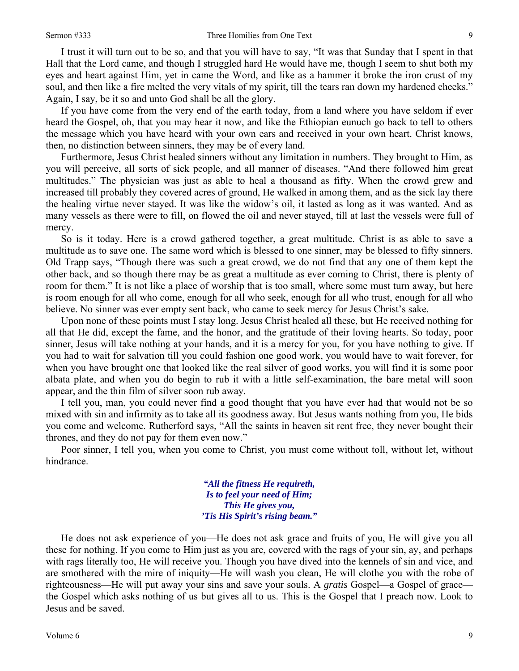I trust it will turn out to be so, and that you will have to say, "It was that Sunday that I spent in that Hall that the Lord came, and though I struggled hard He would have me, though I seem to shut both my eyes and heart against Him, yet in came the Word, and like as a hammer it broke the iron crust of my soul, and then like a fire melted the very vitals of my spirit, till the tears ran down my hardened cheeks." Again, I say, be it so and unto God shall be all the glory.

If you have come from the very end of the earth today, from a land where you have seldom if ever heard the Gospel, oh, that you may hear it now, and like the Ethiopian eunuch go back to tell to others the message which you have heard with your own ears and received in your own heart. Christ knows, then, no distinction between sinners, they may be of every land.

Furthermore, Jesus Christ healed sinners without any limitation in numbers. They brought to Him, as you will perceive, all sorts of sick people, and all manner of diseases. "And there followed him great multitudes." The physician was just as able to heal a thousand as fifty. When the crowd grew and increased till probably they covered acres of ground, He walked in among them, and as the sick lay there the healing virtue never stayed. It was like the widow's oil, it lasted as long as it was wanted. And as many vessels as there were to fill, on flowed the oil and never stayed, till at last the vessels were full of mercy.

So is it today. Here is a crowd gathered together, a great multitude. Christ is as able to save a multitude as to save one. The same word which is blessed to one sinner, may be blessed to fifty sinners. Old Trapp says, "Though there was such a great crowd, we do not find that any one of them kept the other back, and so though there may be as great a multitude as ever coming to Christ, there is plenty of room for them." It is not like a place of worship that is too small, where some must turn away, but here is room enough for all who come, enough for all who seek, enough for all who trust, enough for all who believe. No sinner was ever empty sent back, who came to seek mercy for Jesus Christ's sake.

Upon none of these points must I stay long. Jesus Christ healed all these, but He received nothing for all that He did, except the fame, and the honor, and the gratitude of their loving hearts. So today, poor sinner, Jesus will take nothing at your hands, and it is a mercy for you, for you have nothing to give. If you had to wait for salvation till you could fashion one good work, you would have to wait forever, for when you have brought one that looked like the real silver of good works, you will find it is some poor albata plate, and when you do begin to rub it with a little self-examination, the bare metal will soon appear, and the thin film of silver soon rub away.

I tell you, man, you could never find a good thought that you have ever had that would not be so mixed with sin and infirmity as to take all its goodness away. But Jesus wants nothing from you, He bids you come and welcome. Rutherford says, "All the saints in heaven sit rent free, they never bought their thrones, and they do not pay for them even now."

Poor sinner, I tell you, when you come to Christ, you must come without toll, without let, without hindrance.

> *"All the fitness He requireth, Is to feel your need of Him; This He gives you, 'Tis His Spirit's rising beam."*

He does not ask experience of you—He does not ask grace and fruits of you, He will give you all these for nothing. If you come to Him just as you are, covered with the rags of your sin, ay, and perhaps with rags literally too, He will receive you. Though you have dived into the kennels of sin and vice, and are smothered with the mire of iniquity—He will wash you clean, He will clothe you with the robe of righteousness—He will put away your sins and save your souls. A *gratis* Gospel—a Gospel of grace the Gospel which asks nothing of us but gives all to us. This is the Gospel that I preach now. Look to Jesus and be saved.